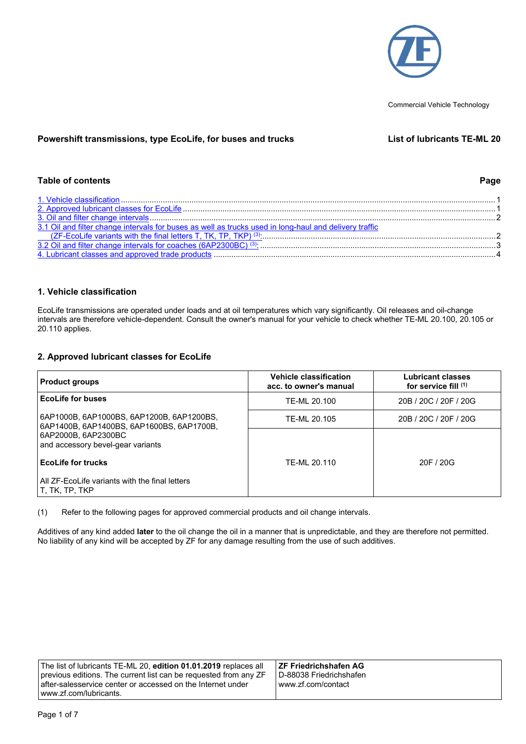

Commercial Vehicle Technology

| Powershift transmissions, type EcoLife, for buses and trucks | List of lubricants TE-ML 20 |
|--------------------------------------------------------------|-----------------------------|
|                                                              |                             |
|                                                              |                             |

| <b>Table of contents</b> | Page |  |
|--------------------------|------|--|
|                          |      |  |

| 3.1 Oil and filter change intervals for buses as well as trucks used in long-haul and delivery traffic |  |
|--------------------------------------------------------------------------------------------------------|--|
|                                                                                                        |  |
|                                                                                                        |  |
|                                                                                                        |  |

#### <span id="page-0-0"></span>**1. Vehicle classification**

EcoLife transmissions are operated under loads and at oil temperatures which vary significantly. Oil releases and oil-change intervals are therefore vehicle-dependent. Consult the owner's manual for your vehicle to check whether TE-ML 20.100, 20.105 or 20.110 applies.

#### <span id="page-0-1"></span>**2. Approved lubricant classes for EcoLife**

| <b>Product groups</b>                                                                  | Vehicle classification<br>acc. to owner's manual | <b>Lubricant classes</b><br>for service fill $(1)$ |
|----------------------------------------------------------------------------------------|--------------------------------------------------|----------------------------------------------------|
| <b>EcoLife for buses</b>                                                               | TE-ML 20.100                                     | 20B / 20C / 20F / 20G                              |
| 6AP1000B, 6AP1000BS, 6AP1200B, 6AP1200BS,<br>6AP1400B, 6AP1400BS, 6AP1600BS, 6AP1700B, | TE-ML 20.105                                     | 20B / 20C / 20F / 20G                              |
| 6AP2000B, 6AP2300BC<br>and accessory bevel-gear variants                               |                                                  |                                                    |
| <b>EcoLife for trucks</b>                                                              | TE-ML 20.110                                     | 20F/20G                                            |
| All ZF-EcoLife variants with the final letters<br>T. TK. TP. TKP                       |                                                  |                                                    |

(1) Refer to the following pages for approved commercial products and oil change intervals.

Additives of any kind added **later** to the oil change the oil in a manner that is unpredictable, and they are therefore not permitted. No liability of any kind will be accepted by ZF for any damage resulting from the use of such additives.

| The list of lubricants TE-ML 20, edition 01.01.2019 replaces all | ∃ZF Friedrichshafen AG  |
|------------------------------------------------------------------|-------------------------|
| previous editions. The current list can be requested from any ZF | D-88038 Friedrichshafen |
| after-salesservice center or accessed on the Internet under      | www.zf.com/contact      |
| www.zf.com/lubricants.                                           |                         |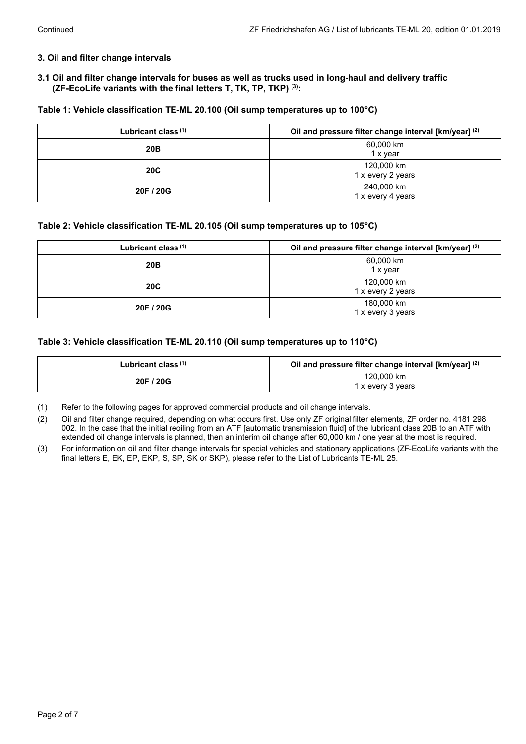### <span id="page-1-0"></span>**3. Oil and filter change intervals**

#### <span id="page-1-1"></span>3.1 Oil and filter change intervals for buses as well as trucks used in long-haul and delivery traffic  **(ZF-EcoLife variants with the final letters T, TK, TP, TKP) (3):**

#### **Table 1: Vehicle classification TE-ML 20.100 (Oil sump temperatures up to 100°C)**

| Lubricant class (1) | Oil and pressure filter change interval [km/year] (2) |
|---------------------|-------------------------------------------------------|
| 20B                 | 60,000 km<br>1 x year                                 |
| <b>20C</b>          | 120,000 km<br>1 x every 2 years                       |
| 20F / 20G           | 240,000 km<br>1 x every 4 years                       |

### **Table 2: Vehicle classification TE-ML 20.105 (Oil sump temperatures up to 105°C)**

| Lubricant class (1) | Oil and pressure filter change interval [km/year] (2) |
|---------------------|-------------------------------------------------------|
| 20B                 | 60,000 km<br>1 x year                                 |
| <b>20C</b>          | 120,000 km<br>1 x every 2 years                       |
| 20F / 20G           | 180,000 km<br>1 x every 3 years                       |

#### **Table 3: Vehicle classification TE-ML 20.110 (Oil sump temperatures up to 110°C)**

| Lubricant class (1) | Oil and pressure filter change interval [km/year] (2) |  |
|---------------------|-------------------------------------------------------|--|
| 20F / 20G           | 120,000 km<br>1 x every 3 years                       |  |

(1) Refer to the following pages for approved commercial products and oil change intervals.

(2) Oil and filter change required, depending on what occurs first. Use only ZF original filter elements, ZF order no. 4181 298 002. In the case that the initial reoiling from an ATF [automatic transmission fluid] of the lubricant class 20B to an ATF with extended oil change intervals is planned, then an interim oil change after 60,000 km / one year at the most is required.

(3) For information on oil and filter change intervals for special vehicles and stationary applications (ZF-EcoLife variants with the final letters E, EK, EP, EKP, S, SP, SK or SKP), please refer to the List of Lubricants TE-ML 25.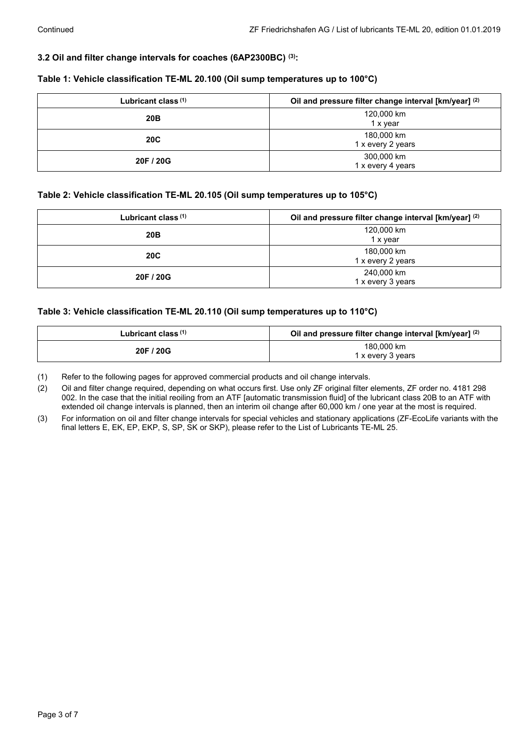### <span id="page-2-0"></span>**3.2 Oil and filter change intervals for coaches (6AP2300BC) (3):**

| Lubricant class (1) | Oil and pressure filter change interval [km/year] (2) |
|---------------------|-------------------------------------------------------|
| 20 <sub>B</sub>     | 120,000 km<br>1 x year                                |
| <b>20C</b>          | 180,000 km<br>1 x every 2 years                       |
| 20F / 20G           | 300,000 km<br>1 x every 4 years                       |

## **Table 1: Vehicle classification TE-ML 20.100 (Oil sump temperatures up to 100°C)**

### **Table 2: Vehicle classification TE-ML 20.105 (Oil sump temperatures up to 105°C)**

| Lubricant class (1) | Oil and pressure filter change interval [km/year] (2) |
|---------------------|-------------------------------------------------------|
| 20B                 | 120,000 km<br>1 x year                                |
| <b>20C</b>          | 180,000 km<br>1 x every 2 years                       |
| 20F / 20G           | 240,000 km<br>1 x every 3 years                       |

#### **Table 3: Vehicle classification TE-ML 20.110 (Oil sump temperatures up to 110°C)**

| Lubricant class (1) | Oil and pressure filter change interval [km/year] (2) |  |
|---------------------|-------------------------------------------------------|--|
| 20F / 20G           | 180,000 km<br>1 x every 3 years                       |  |

(1) Refer to the following pages for approved commercial products and oil change intervals.

(2) Oil and filter change required, depending on what occurs first. Use only ZF original filter elements, ZF order no. 4181 298 002. In the case that the initial reoiling from an ATF [automatic transmission fluid] of the lubricant class 20B to an ATF with extended oil change intervals is planned, then an interim oil change after 60,000 km / one year at the most is required.

(3) For information on oil and filter change intervals for special vehicles and stationary applications (ZF-EcoLife variants with the final letters E, EK, EP, EKP, S, SP, SK or SKP), please refer to the List of Lubricants TE-ML 25.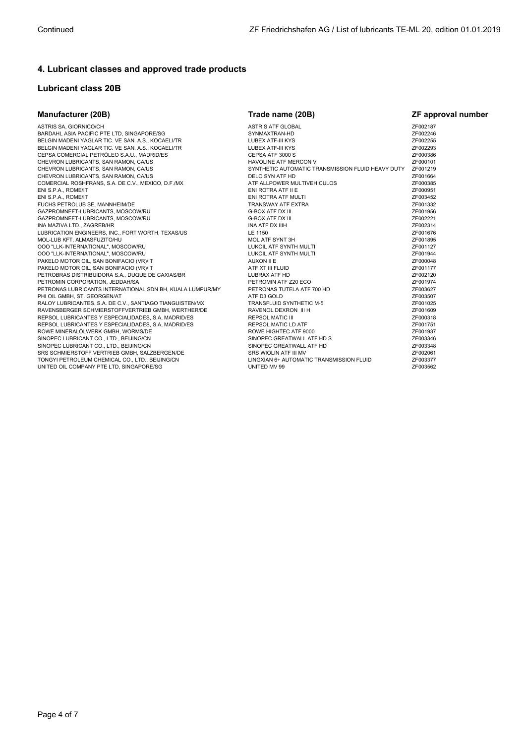# <span id="page-3-0"></span>**4. Lubricant classes and approved trade products**

## **Lubricant class 20B**

| Trade name (20B)                                  | <b>ZF approval number</b> |
|---------------------------------------------------|---------------------------|
| <b>ASTRIS ATF GLOBAL</b>                          | ZF002187                  |
| SYNMAXTRAN-HD                                     | ZF002246                  |
| <b>LUBEX ATF-III KYS</b>                          | ZF002255                  |
| <b>LUBEX ATF-III KYS</b>                          | ZF002293                  |
| CEPSA ATF 3000 S                                  | ZF000386                  |
| <b>HAVOLINE ATF MERCON V</b>                      | ZF000101                  |
| SYNTHETIC AUTOMATIC TRANSMISSION FLUID HEAVY DUTY | ZF001219                  |
| DELO SYN ATF HD                                   | ZF001664                  |
| ATF ALLPOWER MULTIVEHICULOS                       | ZF000385                  |
| ENI ROTRA ATF II E                                | ZF000951                  |
| ENI ROTRA ATF MULTI                               | ZF003452                  |
| <b>TRANSWAY ATF EXTRA</b>                         | ZF001332                  |
| <b>G-BOX ATF DX III</b>                           | ZF001956                  |
| G-BOX ATF DX III                                  | ZF002221                  |
| <b>INA ATF DX IIIH</b>                            | ZF002314                  |
| LE 1150                                           | ZF001676                  |
| MOL ATF SYNT 3H                                   | ZF001895                  |
| LUKOIL ATF SYNTH MULTI                            | ZF001127                  |
| LUKOIL ATF SYNTH MULTI                            | ZF001944                  |
| AUXON II E                                        | ZF000048                  |
| ATF XT III FLUID                                  | ZF001177                  |
| LUBRAX ATF HD                                     | ZF002120                  |
| PETROMIN ATF Z20 ECO                              | ZF001974                  |
| PETRONAS TUTELA ATF 700 HD                        | ZF003627                  |
| ATF D3 GOLD                                       | ZF003507                  |
| TRANSFLUID SYNTHETIC M-5                          | ZF001025                  |
| RAVENOL DEXRON III H                              | ZF001609                  |
| <b>REPSOL MATIC III</b>                           | ZF000318                  |
| <b>REPSOL MATIC LD ATF</b>                        | ZF001751                  |
| ROWE HIGHTEC ATF 9000                             | ZF001937                  |
| SINOPEC GREATWALL ATF HD S                        | ZF003346                  |
| SINOPEC GREATWALL ATF HD                          | ZF003348                  |
| SRS WIOLIN ATF III MV                             | ZF002061                  |
| LINGXIAN 6+ AUTOMATIC TRANSMISSION FLUID          | ZF003377                  |
| UNITED MV 99                                      | ZF003562                  |
|                                                   |                           |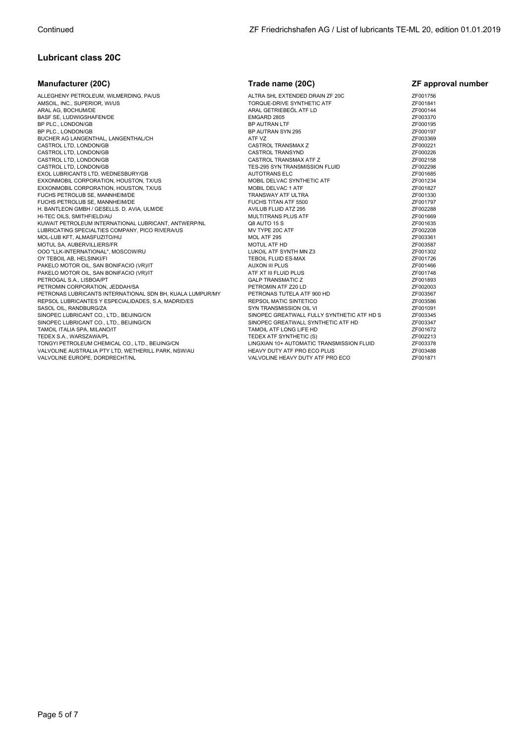## **Lubricant class 20C**

| Manufacturer (20C)                                        | Trade name (20C)                           | <b>ZF</b> approval number |
|-----------------------------------------------------------|--------------------------------------------|---------------------------|
| ALLEGHENY PETROLEUM, WILMERDING, PA/US                    | ALTRA SHL EXTENDED DRAIN ZF 20C            | ZF001756                  |
| AMSOIL, INC., SUPERIOR, WI/US                             | TORQUE-DRIVE SYNTHETIC ATF                 | ZF001841                  |
| ARAL AG, BOCHUM/DE                                        | ARAL GETRIEBEÖL ATF LD                     | ZF000144                  |
| BASF SE, LUDWIGSHAFEN/DE                                  | EMGARD 2805                                | ZF003370                  |
| BP PLC., LONDON/GB                                        | BP AUTRAN LTF                              | ZF000195                  |
| BP PLC., LONDON/GB                                        | BP AUTRAN SYN 295                          | ZF000197                  |
| BUCHER AG LANGENTHAL, LANGENTHAL/CH                       | ATF VZ                                     | ZF003369                  |
| CASTROL LTD. LONDON/GB                                    | <b>CASTROL TRANSMAX Z</b>                  | ZF000221                  |
| CASTROL LTD, LONDON/GB                                    | CASTROL TRANSYND                           | ZF000226                  |
| CASTROL LTD, LONDON/GB                                    | CASTROL TRANSMAX ATF Z                     | ZF002158                  |
| CASTROL LTD. LONDON/GB                                    | TES-295 SYN TRANSMISSION FLUID             | ZF002298                  |
| EXOL LUBRICANTS LTD, WEDNESBURY/GB                        | <b>AUTOTRANS ELC</b>                       | ZF001685                  |
| EXXONMOBIL CORPORATION, HOUSTON, TX/US                    | MOBIL DELVAC SYNTHETIC ATF                 | ZF001234                  |
| EXXONMOBIL CORPORATION, HOUSTON, TX/US                    | <b>MOBIL DELVAC 1 ATF</b>                  | ZF001827                  |
| FUCHS PETROLUB SE, MANNHEIM/DE                            | TRANSWAY ATF ULTRA                         | ZF001330                  |
| FUCHS PETROLUB SE, MANNHEIM/DE                            | FUCHS TITAN ATF 5500                       | ZF001797                  |
| H. BANTLEON GMBH / GESELLS. D. AVIA, ULM/DE               | AVILUB FLUID ATZ 295                       | ZF002288                  |
| HI-TEC OILS, SMITHFIELD/AU                                | MULTITRANS PLUS ATF                        | ZF001669                  |
| KUWAIT PETROLEUM INTERNATIONAL LUBRICANT, ANTWERP/NL      | Q8 AUTO 15 S                               | ZF001635                  |
| LUBRICATING SPECIALTIES COMPANY, PICO RIVERA/US           | MV TYPE 20C ATF                            | ZF002208                  |
| MOL-LUB KFT, ALMASFUZITO/HU                               | MOL ATF 295                                | ZF003361                  |
| MOTUL SA, AUBERVILLIERS/FR                                | MOTUL ATF HD                               | ZF003587                  |
| OOO "LLK-INTERNATIONAL", MOSCOW/RU                        | LUKOIL ATF SYNTH MN Z3                     | ZF001302                  |
|                                                           | TEBOIL FLUID ES-MAX                        | ZF001726                  |
|                                                           | <b>AUXON III PLUS</b>                      | ZF001466                  |
|                                                           | ATF XT III FLUID PLUS                      | ZF001748                  |
|                                                           | <b>GALP TRANSMATIC Z</b>                   | ZF001893                  |
| PETROMIN CORPORATION, JEDDAH/SA                           | PETROMIN ATF Z20 LD                        | ZF002003                  |
| PETRONAS LUBRICANTS INTERNATIONAL SDN BH, KUALA LUMPUR/MY | PETRONAS TUTELA ATF 900 HD                 | ZF003567                  |
| REPSOL LUBRICANTES Y ESPECIALIDADES, S.A, MADRID/ES       | <b>REPSOL MATIC SINTETICO</b>              | ZF003586                  |
| SASOL OIL, RANDBURG/ZA                                    | SYN TRANSMISSION OIL VI                    | ZF001091                  |
| SINOPEC LUBRICANT CO., LTD., BEIJING/CN                   | SINOPEC GREATWALL FULLY SYNTHETIC ATF HD S | ZF003345                  |
| SINOPEC LUBRICANT CO., LTD., BEIJING/CN                   | SINOPEC GREATWALL SYNTHETIC ATF HD         | ZF003347                  |
| TAMOIL ITALIA SPA, MILANO/IT                              | TAMOIL ATF LONG LIFE HD                    | ZF001672                  |
| TEDEX S.A., WARSZAWA/PL                                   | TEDEX ATF SYNTHETIC (S)                    | ZF002213                  |
| TONGYI PETROLEUM CHEMICAL CO., LTD., BEIJING/CN           | LINGXIAN 10+ AUTOMATIC TRANSMISSION FLUID  | ZF003378                  |
| VALVOLINE AUSTRALIA PTY LTD, WETHERILL PARK, NSW/AU       | HEAVY DUTY ATF PRO ECO PLUS                | ZF003488                  |
| VALVOLINE EUROPE, DORDRECHT/NL                            | VALVOLINE HEAVY DUTY ATF PRO ECO           | ZF001871                  |
|                                                           |                                            |                           |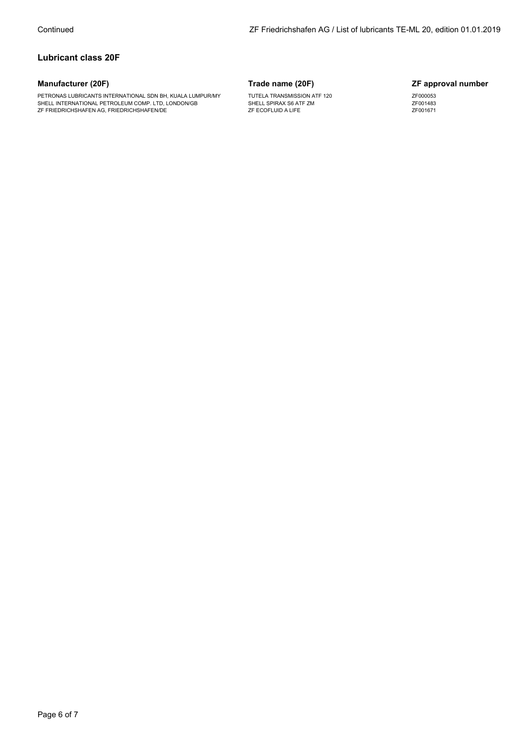#### **Lubricant class 20F**

PETRONAS LUBRICANTS INTERNATIONAL SDN BH, KUALA LUMPUR/MY TUTELA TRANSMISSION ATF 120 ZF000053 SHELL INTERNATIONAL PETROLEUM COMP. LTD, LONDON/GB SHELL SPIRAX S6 ATF ZM ZF001483 ZF FRIEDRICHSHAFEN AG, FRIEDRICHSHAFEN/DE ZEOSTED TERRIT AG ZE ECOFLUID A LIFE ZTO STANDER ZF001671

#### **Manufacturer (20F) Trade name (20F) ZF approval number**